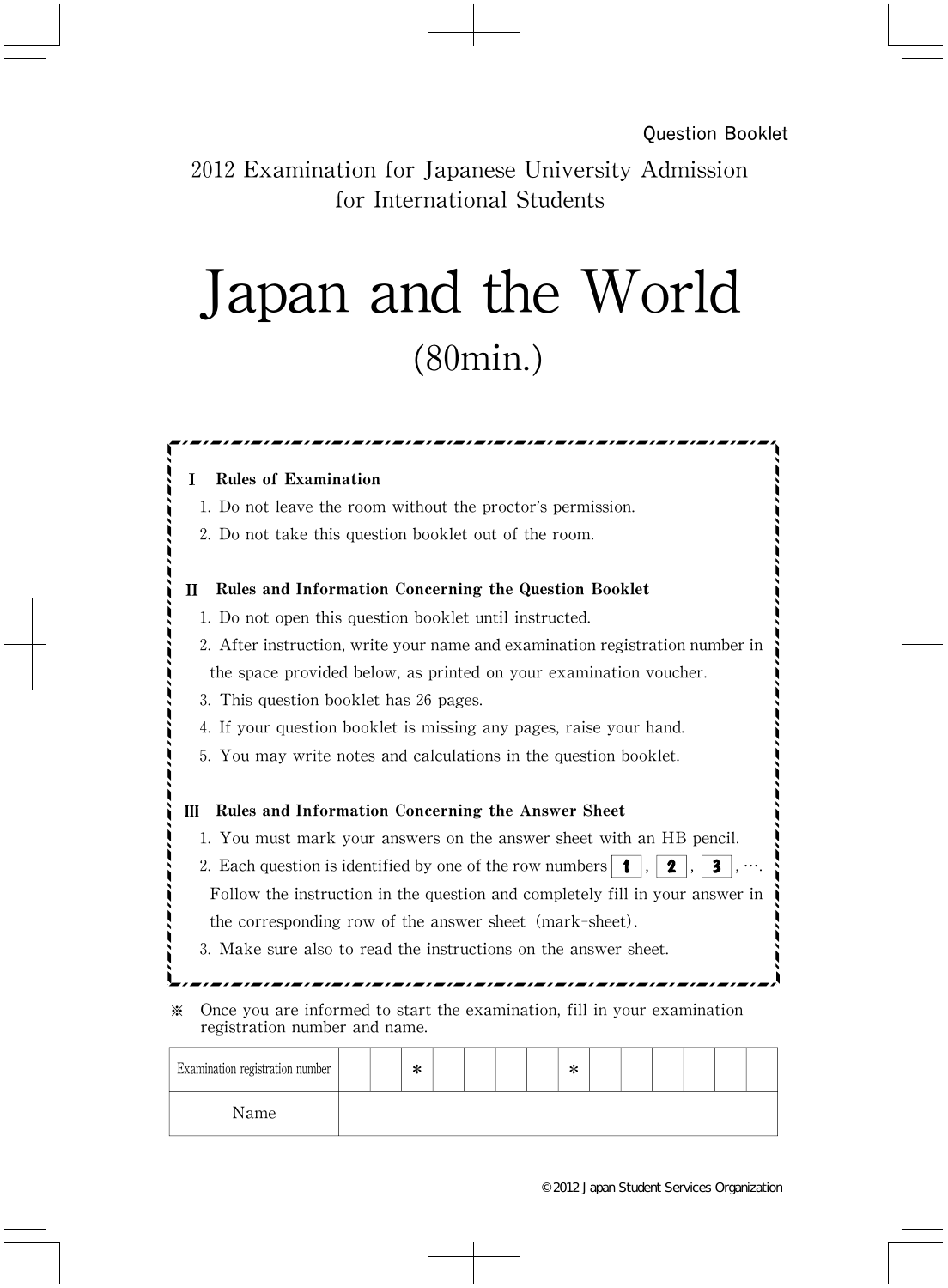2012 Examination for Japanese University Admission for International Students

## Japan and the World (80min.)

| 1. Do not leave the room without the proctor's permission.                                  |                                                                              |  |
|---------------------------------------------------------------------------------------------|------------------------------------------------------------------------------|--|
| 2. Do not take this question booklet out of the room.                                       |                                                                              |  |
| H                                                                                           | Rules and Information Concerning the Question Booklet                        |  |
|                                                                                             | 1. Do not open this question booklet until instructed.                       |  |
|                                                                                             | 2. After instruction, write your name and examination registration number in |  |
|                                                                                             | the space provided below, as printed on your examination voucher.            |  |
|                                                                                             | 3. This question booklet has 26 pages.                                       |  |
|                                                                                             | 4. If your question booklet is missing any pages, raise your hand.           |  |
| 5. You may write notes and calculations in the question booklet.                            |                                                                              |  |
|                                                                                             |                                                                              |  |
| Ш                                                                                           | Rules and Information Concerning the Answer Sheet                            |  |
| 1. You must mark your answers on the answer sheet with an HB pencil.                        |                                                                              |  |
| 2. Each question is identified by one of the row numbers $  \cdot  $ ,<br>$\mathbf{2}$<br>3 |                                                                              |  |
| Follow the instruction in the question and completely fill in your answer in                |                                                                              |  |
| the corresponding row of the answer sheet (mark-sheet).                                     |                                                                              |  |
| 3. Make sure also to read the instructions on the answer sheet.                             |                                                                              |  |
|                                                                                             |                                                                              |  |
| ⋇<br>registration number and name.                                                          | Once you are informed to start the examination, fill in your examination     |  |

Name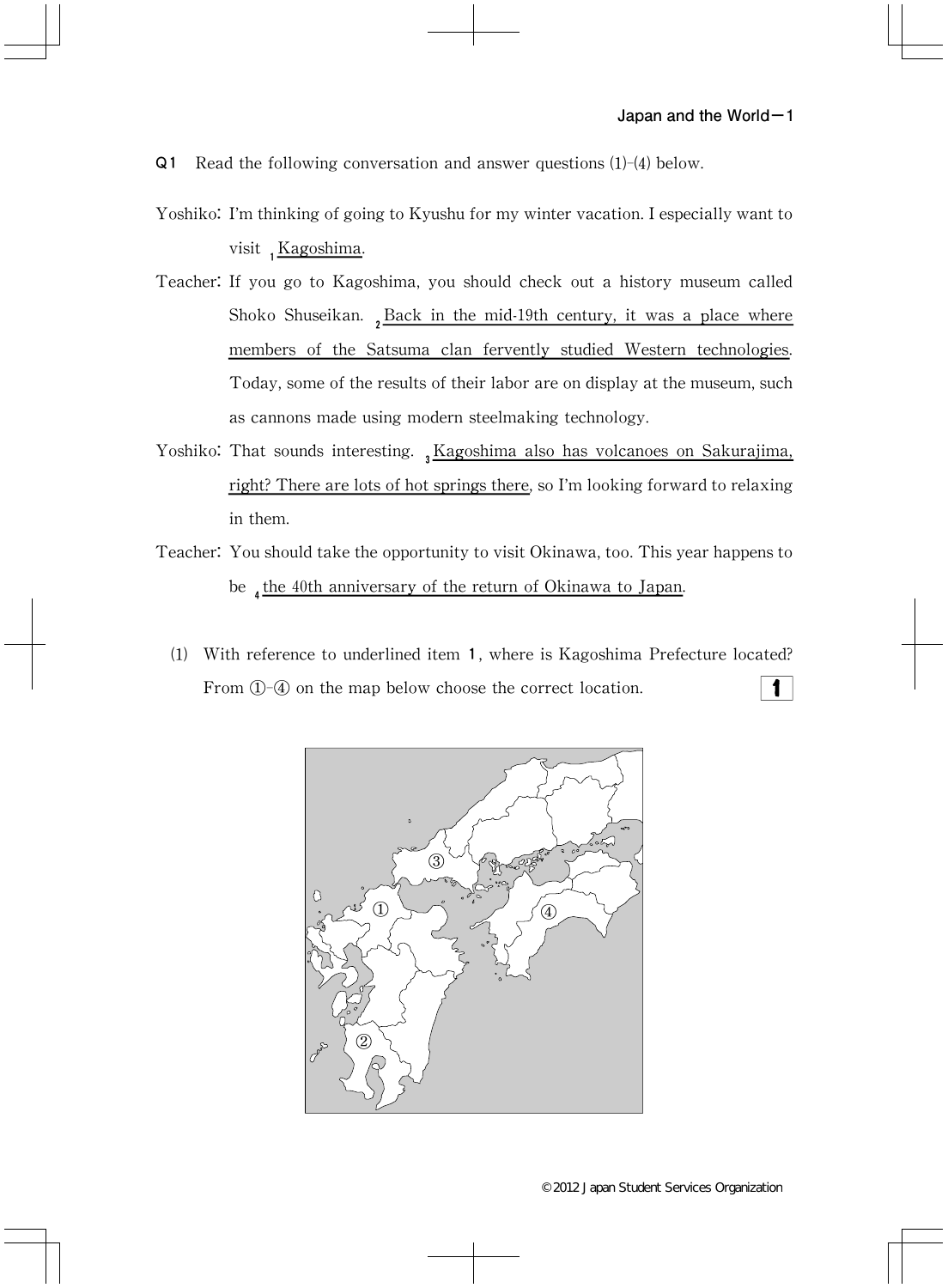- Q1 Read the following conversation and answer questions (1)-(4) below.
- Yoshiko: I'm thinking of going to Kyushu for my winter vacation. I especially want to visit 1Kagoshima.
- Teacher: If you go to Kagoshima, you should check out a history museum called Shoko Shuseikan.  ${}_{2}$ Back in the mid-19th century, it was a place where members of the Satsuma clan fervently studied Western technologies. Today, some of the results of their labor are on display at the museum, such as cannons made using modern steelmaking technology.
- Yoshiko: That sounds interesting. 3Kagoshima also has volcanoes on Sakurajima, right? There are lots of hot springs there, so I'm looking forward to relaxing in them.
- Teacher: You should take the opportunity to visit Okinawa, too. This year happens to be  $_4$  the 40th anniversary of the return of Okinawa to Japan.
	- (1) With reference to underlined item 1, where is Kagoshima Prefecture located? From  $(1)$ - $(4)$  on the map below choose the correct location. 1

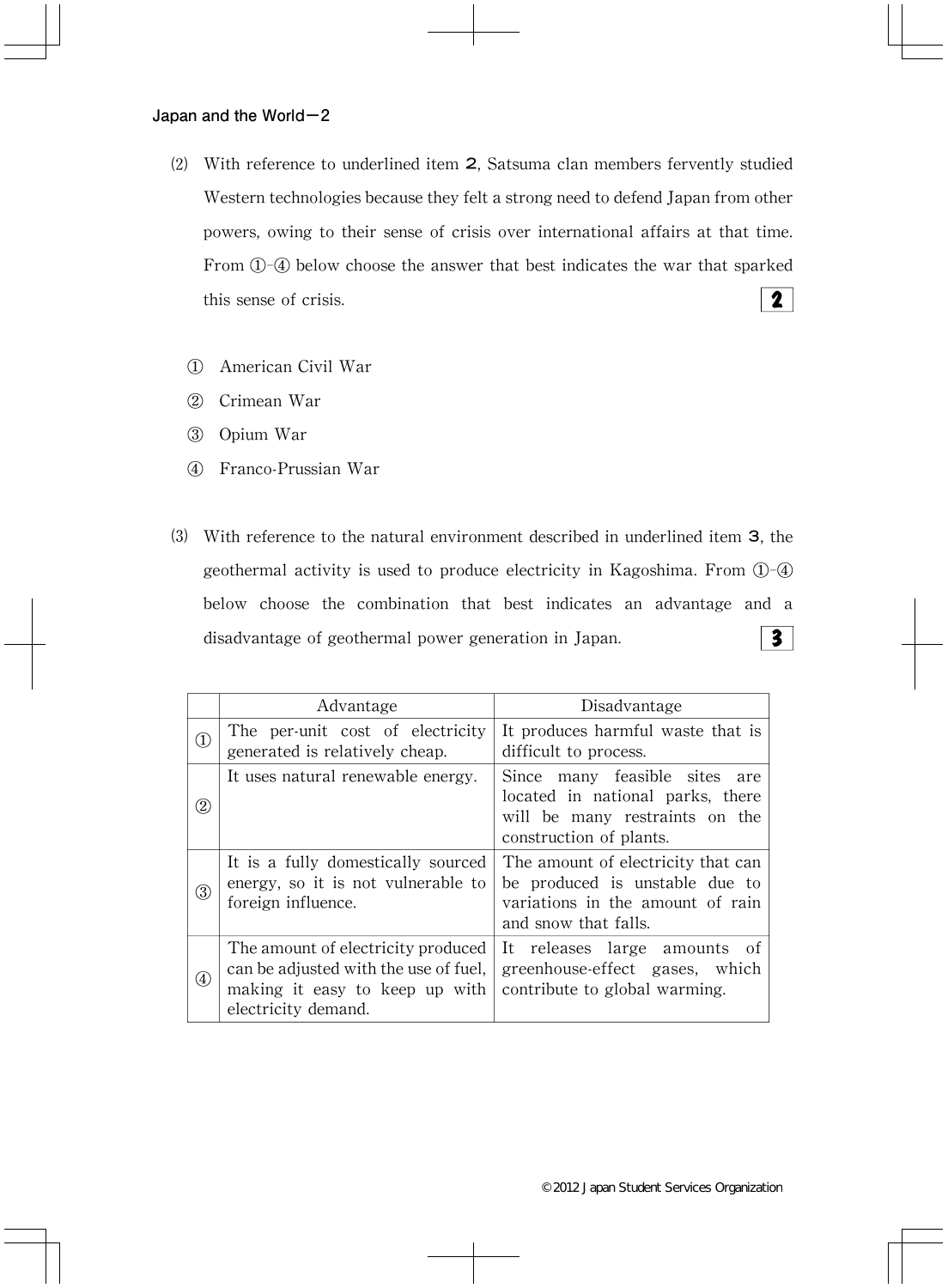- ⑵ With reference to underlined item 2,Satsuma clan members fervently studied Western technologies because they felt a strong need to defend Japan from other powers, owing to their sense of crisis over international affairs at that time. From ①-④ below choose the answer that best indicates the war that sparked  $\mathbf{2}$ this sense of crisis.
	- ① American Civil War
	- ② Crimean War
	- ③ Opium War
	- ④ Franco-Prussian War
- ⑶ With reference to the natural environment described in underlined item 3,the geothermal activity is used to produce electricity in Kagoshima. From  $\mathbb{O}$ - $\mathbb{Q}$ below choose the combination that best indicates an advantage and a  $\overline{\mathbf{3}}$ disadvantage of geothermal power generation in Japan.

|                   | Advantage                                                                                                                            | Disadvantage                                                                                                                      |
|-------------------|--------------------------------------------------------------------------------------------------------------------------------------|-----------------------------------------------------------------------------------------------------------------------------------|
| $\left(1\right)$  | The per-unit cost of electricity<br>generated is relatively cheap.                                                                   | It produces harmful waste that is<br>difficult to process.                                                                        |
| 2)                | It uses natural renewable energy.                                                                                                    | Since many feasible sites<br>are<br>located in national parks, there<br>will be many restraints on the<br>construction of plants. |
| $\circledS$       | It is a fully domestically sourced<br>energy, so it is not vulnerable to<br>foreign influence.                                       | The amount of electricity that can<br>be produced is unstable due to<br>variations in the amount of rain<br>and snow that falls.  |
| $\left( 4\right)$ | The amount of electricity produced<br>can be adjusted with the use of fuel,<br>making it easy to keep up with<br>electricity demand. | It releases large amounts of<br>greenhouse-effect gases, which<br>contribute to global warming.                                   |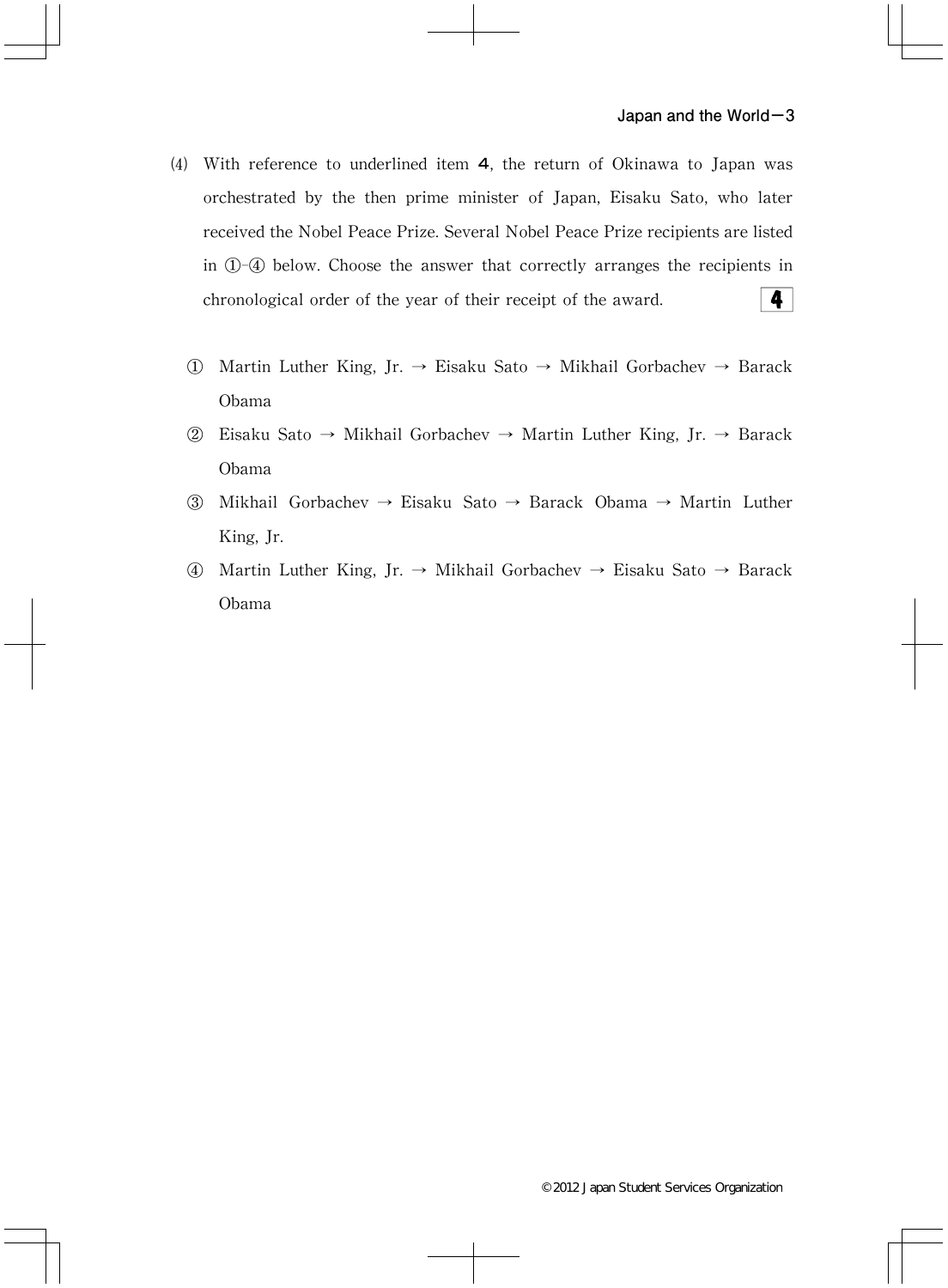- (4) With reference to underlined item  $4$ , the return of Okinawa to Japan was orchestrated by the then prime minister of Japan, Eisaku Sato, who later received the Nobel Peace Prize. Several Nobel Peace Prize recipients are listed in  $(1)$ - $(4)$  below. Choose the answer that correctly arranges the recipients in  $\vert \vert$ chronological order of the year of their receipt of the award.
	- ① Martin Luther King,Jr.→ Eisaku Sato→ Mikhail Gorbachev→ Barack Obama
	- ② Eisaku Sato→ Mikhail Gorbachev→ Martin Luther King,Jr.→ Barack Obama
	- ③ Mikhail Gorbachev→ Eisaku Sato→ Barack Obama→ Martin Luther King, Jr.
	- ④ Martin Luther King,Jr.→ Mikhail Gorbachev→ Eisaku Sato→ Barack Obama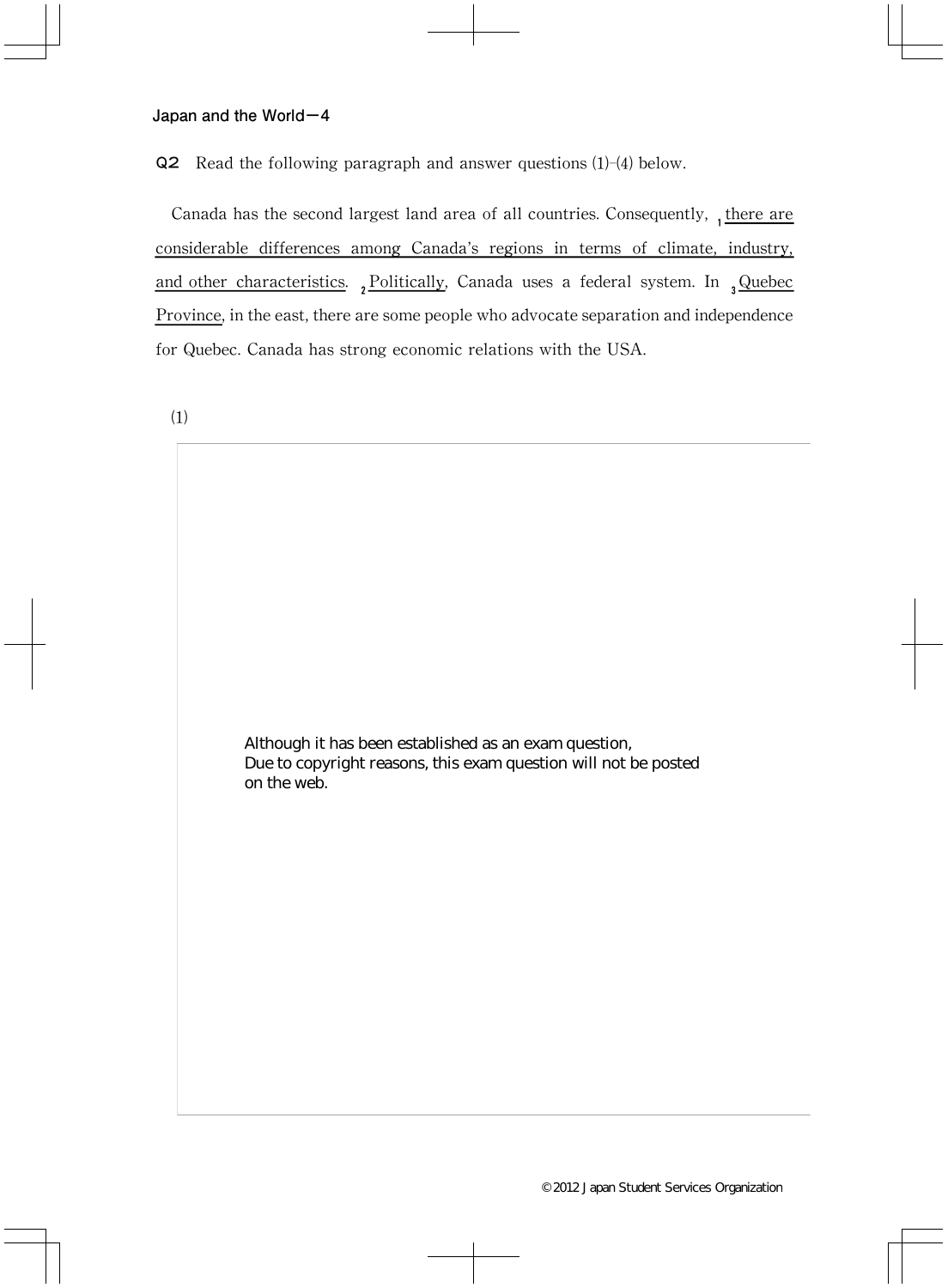Q2 Read the following paragraph and answer questions (1)-(4) below.

Canada has the second largest land area of all countries. Consequently,  $_1$  there are considerable differences among Canada's regions in terms of climate, industry, and other characteristics.  $2Politically$ , Canada uses a federal system. In  $3Quebec$ Province, in the east, there are some people who advocate separation and independence for Quebec.Canada has strong economic relations with the USA.

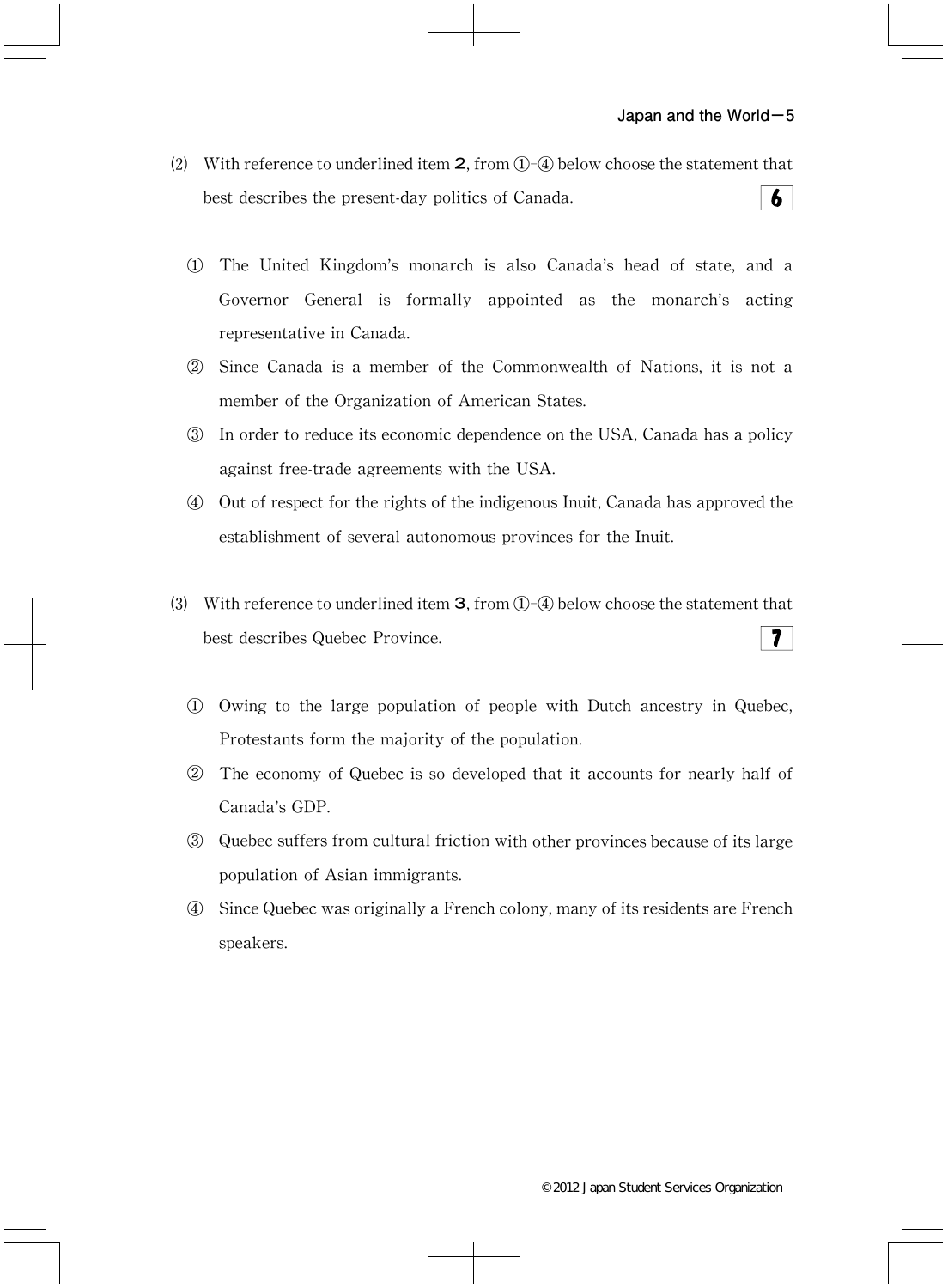- (2) With reference to underlined item  $2$ , from  $(1)$ - $(4)$  below choose the statement that 6 best describes the present-day politics of Canada.
	- ① The United Kingdom's monarch is also Canada's head of state,and a Governor General is formally appointed as the monarch's acting representative in Canada.
	- ② Since Canada is a member of the Commonwealth of Nations,it is not a member of the Organization of American States.
	- ③ In order to reduce its economic dependence on the USA,Canada has a policy against free-trade agreements with the USA.
	- ④ Out of respect for the rights of the indigenous Inuit,Canada has approved the establishment of several autonomous provinces for the Inuit.
- ⑶ With reference to underlined item 3,from①-④ below choose the statement that  $7<sup>1</sup>$ best describes Quebec Province.
	- ① Owing to the large population of people with Dutch ancestry in Quebec, Protestants form the majority of the population.
	- ② The economy of Quebec is so developed that it accounts for nearly half of Canada's GDP.
	- ③ Quebec suffers from cultural friction with other provinces because of its large population of Asian immigrants.
	- ④ Since Quebec was originally a French colony,many of its residents are French speakers.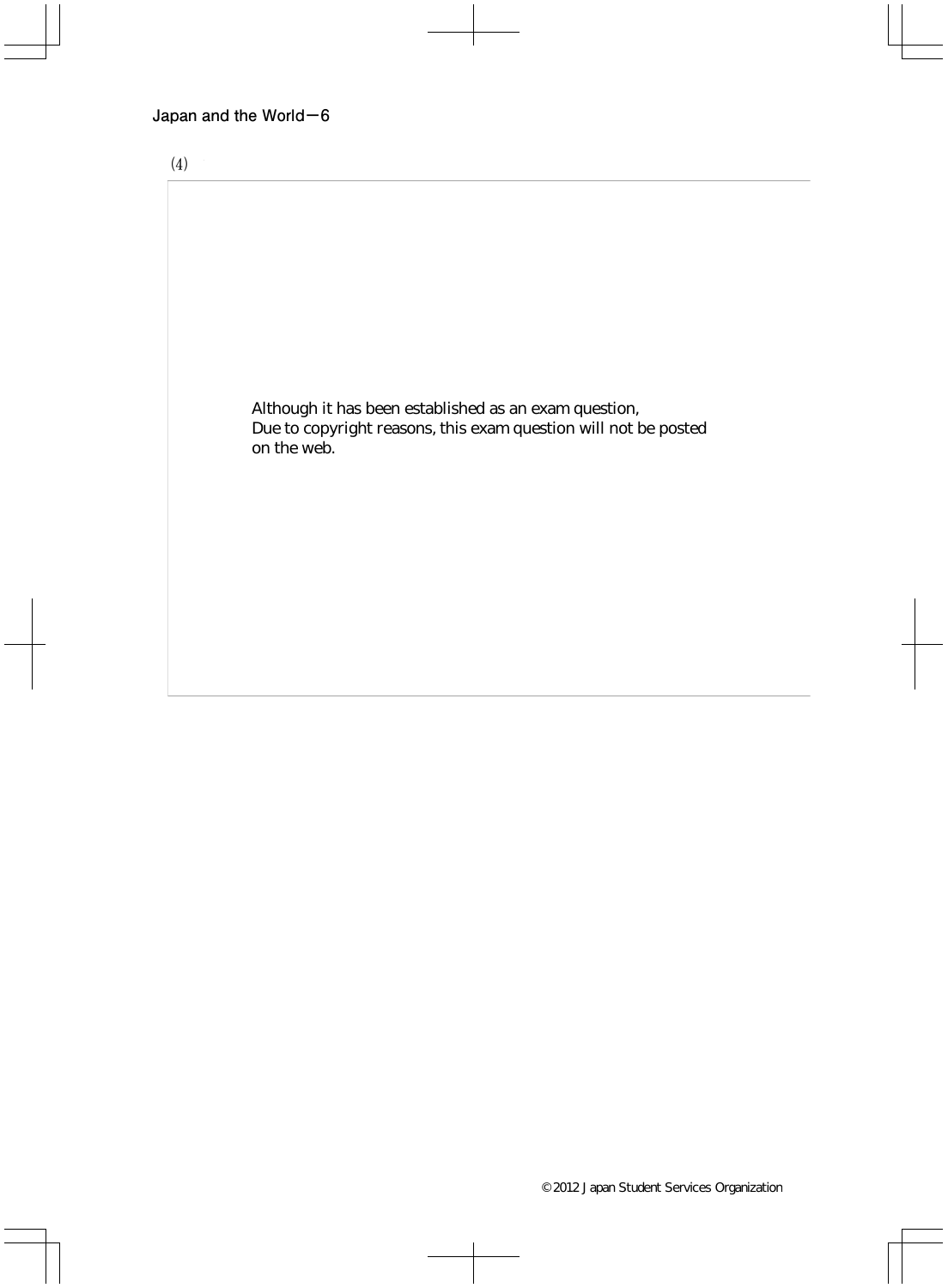

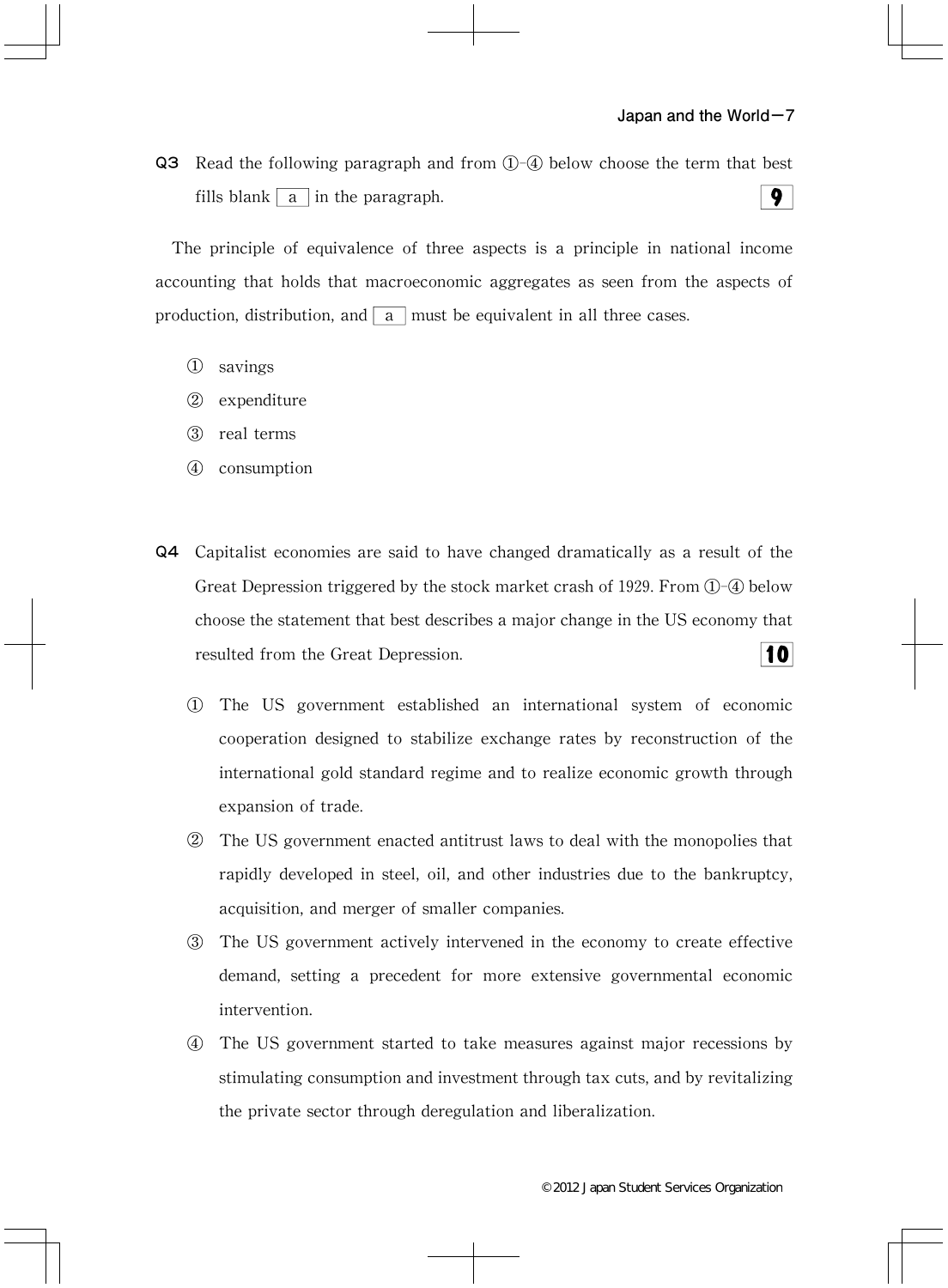Q3 Read the following paragraph and from ①-④ below choose the term that best  $9<sup>1</sup>$ fills blank  $\boxed{a}$  in the paragraph.

The principle of equivalence of three aspects is a principle in national income accounting that holds that macroeconomic aggregates as seen from the aspects of production, distribution, and  $\vert a \vert$  must be equivalent in all three cases.

- ① savings
- ② expenditure
- ③ real terms
- ④ consumption
- Q4 Capitalist economies are said to have changed dramatically as a result of the Great Depression triggered by the stock market crash of 1929. From  $\mathbb{O}$ - $\mathbb{O}$  below choose the statement that best describes a major change in the US economy that 10 resulted from the Great Depression.
	- ① The US government established an international system of economic cooperation designed to stabilize exchange rates by reconstruction of the international gold standard regime and to realize economic growth through expansion of trade.
	- ② The US government enacted antitrust laws to deal with the monopolies that rapidly developed in steel, oil, and other industries due to the bankruptcy, acquisition, and merger of smaller companies.
	- ③ The US government actively intervened in the economy to create effective demand, setting a precedent for more extensive governmental economic intervention.
	- ④ The US government started to take measures against major recessions by stimulating consumption and investment through tax cuts, and by revitalizing the private sector through deregulation and liberalization.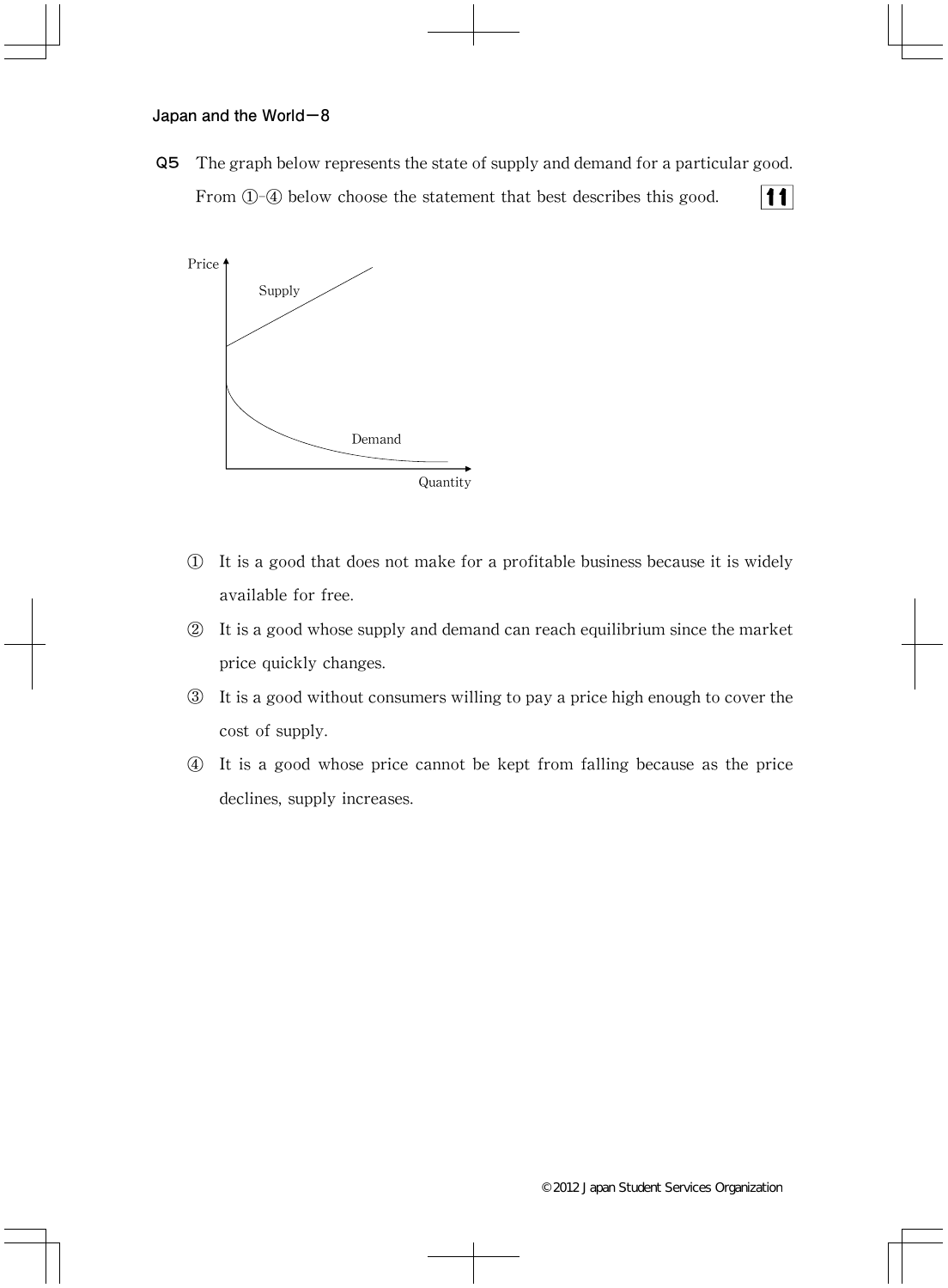Q5 The graph below represents the state of supply and demand for a particular good. From  $\mathbb{D}$ -4 below choose the statement that best describes this good.  $11$ 



- ① It is a good that does not make for a profitable business because it is widely available for free.
- ② It is a good whose supply and demand can reach equilibrium since the market price quickly changes.
- ③ It is a good without consumers willing to pay a price high enough to cover the cost of supply.
- ④ It is a good whose price cannot be kept from falling because as the price declines, supply increases.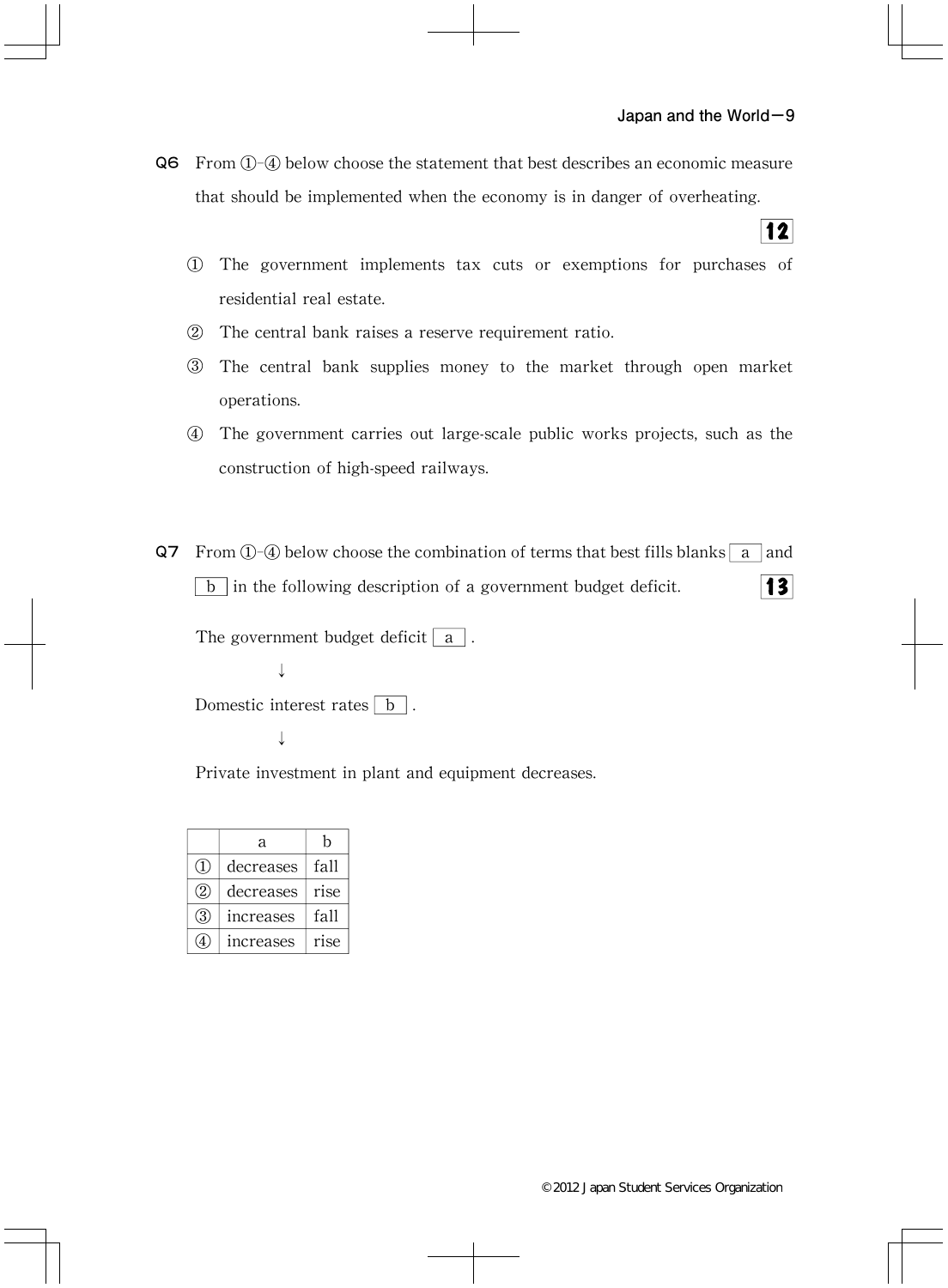$|12|$ 

Q6 From ①-④ below choose the statement that best describes an economic measure that should be implemented when the economy is in danger of overheating.

- ① The government implements tax cuts or exemptions for purchases of residential real estate.
- ② The central bank raises a reserve requirement ratio.
- ③ The central bank supplies money to the market through open market operations.
- ④ The government carries out large-scale public works projects,such as the construction of high-speed railways.
- Q7 From  $\Phi$ -@ below choose the combination of terms that best fills blanks a and  $\vert b \vert$  in the following description of a government budget deficit.  $|3|$

The government budget deficit  $\boxed{a}$ . ↓

Domestic interest rates  $\boxed{b}$ .

↓

Private investment in plant and equipment decreases.

|                  | a         | h    |
|------------------|-----------|------|
| $\left(1\right)$ | decreases | fall |
| (2)              | decreases | rise |
| 3                | increases | fall |
|                  | increases | rise |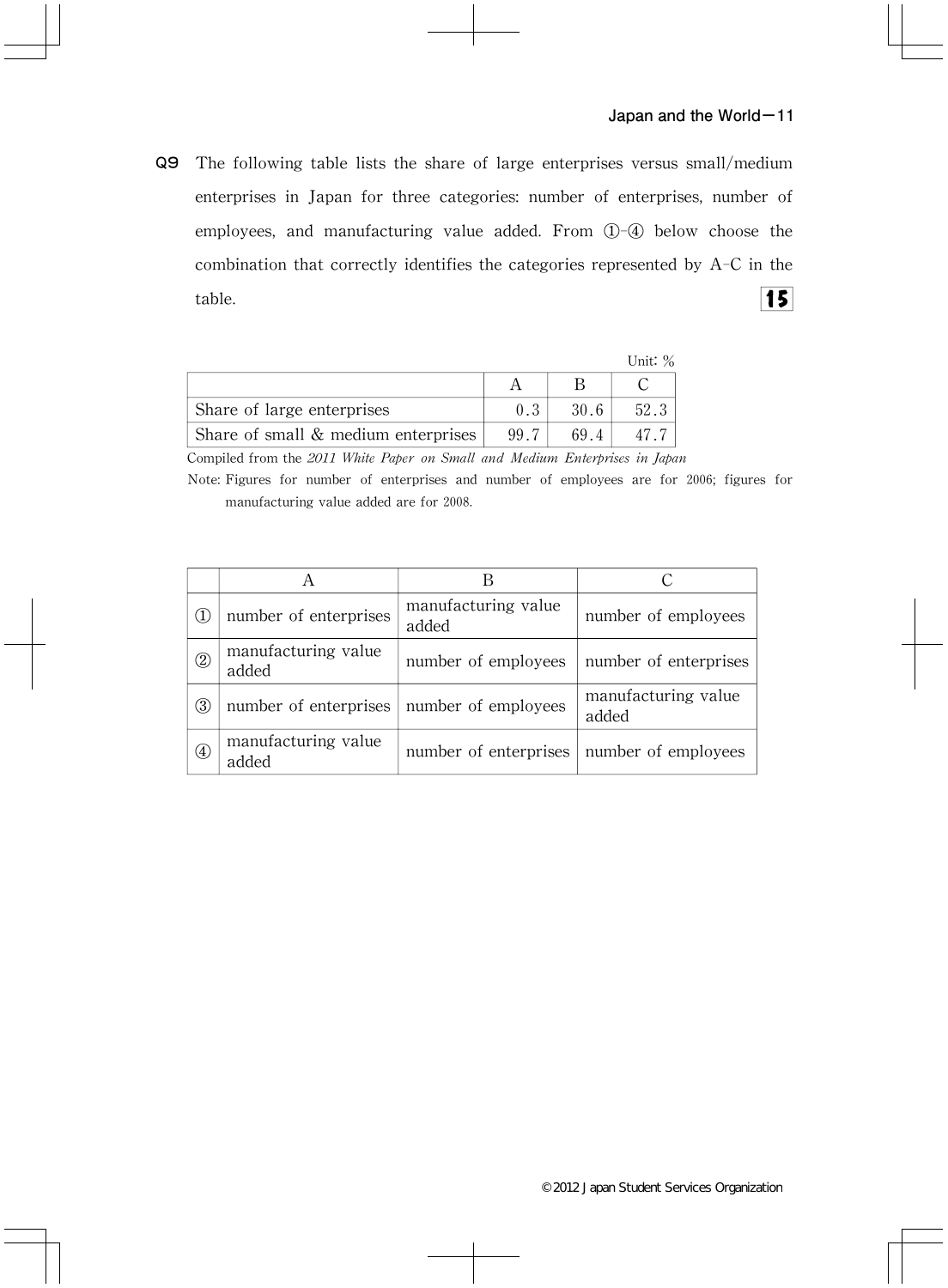Q9 The following table lists the share of large enterprises versus small/medium enterprises in Japan for three categories: number of enterprises, number of employees, and manufacturing value added. From  $(1)$ - $(4)$  below choose the combination that correctly identifies the categories represented by A-C in the  $\overline{\overline{15}}$ table.

|                                       |      |      | Unit: $\%$ |
|---------------------------------------|------|------|------------|
|                                       |      |      |            |
| Share of large enterprises            | 0.3  | 30.6 | 52.3       |
| Share of small $&$ medium enterprises | 99 7 | 694  |            |

Compiled from the 2011 White Paper on Small and Medium Enterprises in Japan

Note: Figures for number of enterprises and number of employees are for 2006; figures for manufacturing value added are for 2008.

| (1)                                         | number of enterprises                       | manufacturing value<br>added | number of employees          |
|---------------------------------------------|---------------------------------------------|------------------------------|------------------------------|
| $^{\circledR}$                              | manufacturing value<br>added                | number of employees          | number of enterprises        |
| ③                                           | number of enterprises   number of employees |                              | manufacturing value<br>added |
| $^{\small{\textcircled{\footnotesize{1}}}}$ | manufacturing value<br>added                | number of enterprises        | number of employees          |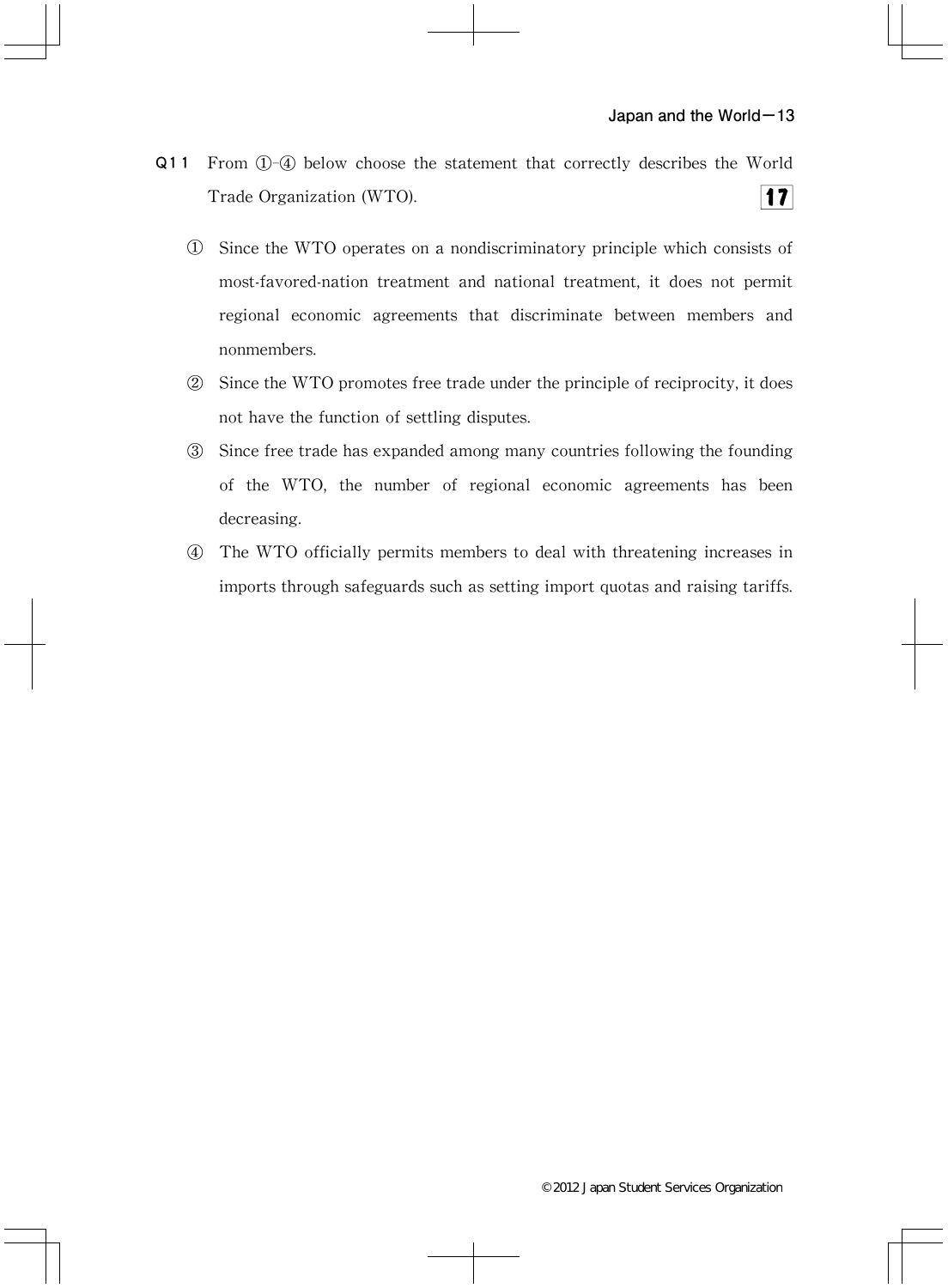- Q11 From ①-④ below choose the statement that correctly describes the World  $17$ Trade Organization(WTO).
	- ① Since the WTO operates on a nondiscriminatory principle which consists of most-favored-nation treatment and national treatment, it does not permit regional economic agreements that discriminate between members and nonmembers.
	- ② Since the WTO promotes free trade under the principle of reciprocity,it does not have the function of settling disputes.
	- ③ Since free trade has expanded among many countries following the founding of the WTO, the number of regional economic agreements has been decreasing.
	- ④ The WTO officially permits members to deal with threatening increases in imports through safeguards such as setting import quotas and raising tariffs.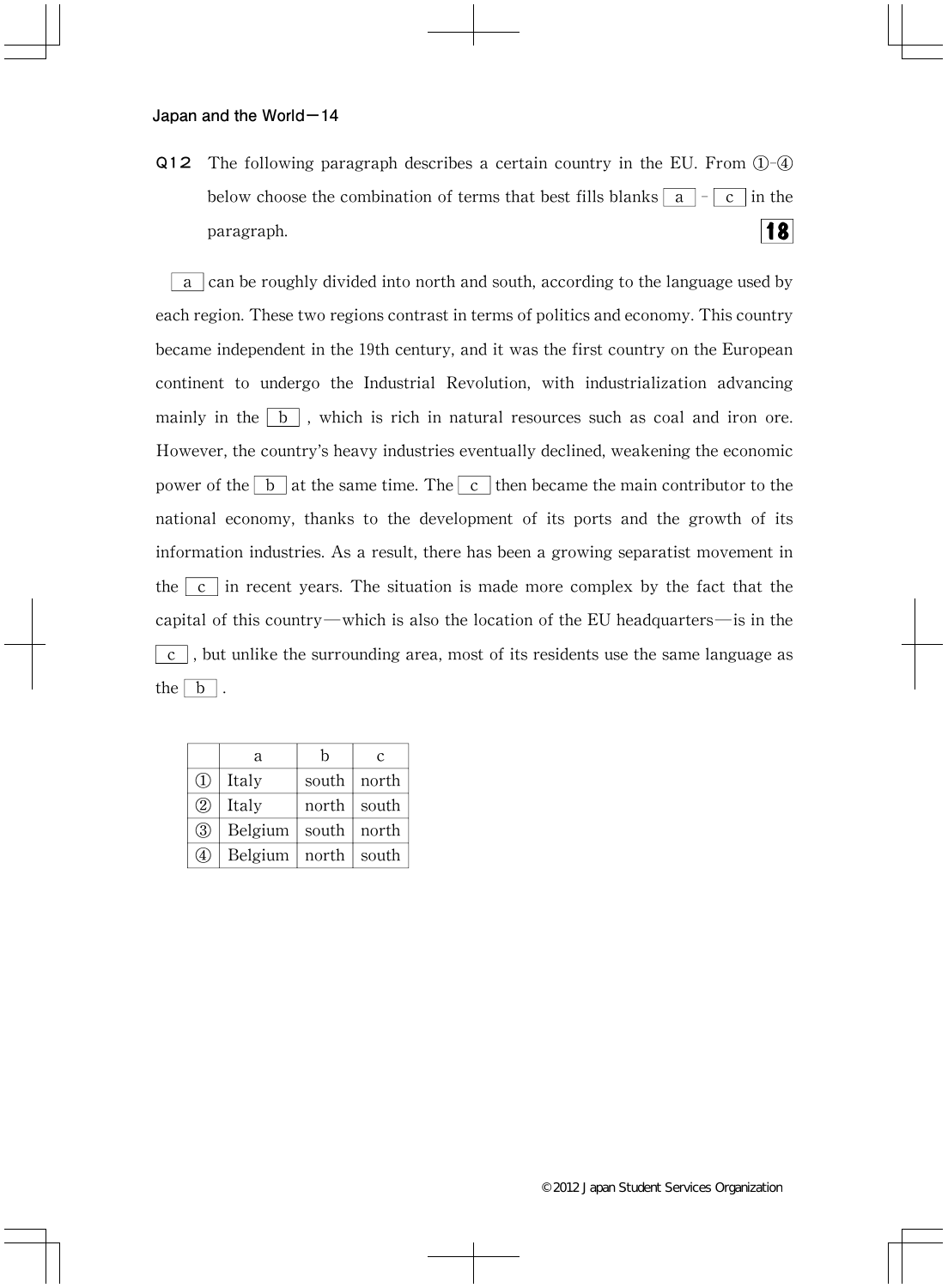Q12 The following paragraph describes a certain country in the EU. From  $\mathbb{O}$ - $\mathbb{Q}$ below choose the combination of terms that best fills blanks  $\boxed{a}$  -  $\boxed{c}$  in the 18 paragraph.

a can be roughly divided into north and south,according to the language used by each region.These two regions contrast in terms of politics and economy.This country became independent in the 19th century, and it was the first country on the European continent to undergo the Industrial Revolution, with industrialization advancing mainly in the  $\boxed{b}$ , which is rich in natural resources such as coal and iron ore. However, the country's heavy industries eventually declined, weakening the economic power of the  $\boxed{b}$  at the same time. The  $\boxed{c}$  then became the main contributor to the national economy, thanks to the development of its ports and the growth of its information industries. As a result, there has been a growing separatist movement in the  $\vert c \vert$  in recent years. The situation is made more complex by the fact that the capital of this country―which is also the location of the EU headquarters―is in the  $\boxed{c}$ , but unlike the surrounding area, most of its residents use the same language as the  $\boxed{b}$ .

|               | a       | h     | $\mathcal{C}$ |
|---------------|---------|-------|---------------|
| $\mathbb{Q}$  | Italy   | south | north         |
| $\circled{2}$ | Italy   | north | south         |
| $\circled{3}$ | Belgium | south | north         |
| ۰4٠           | Belgium | north | south         |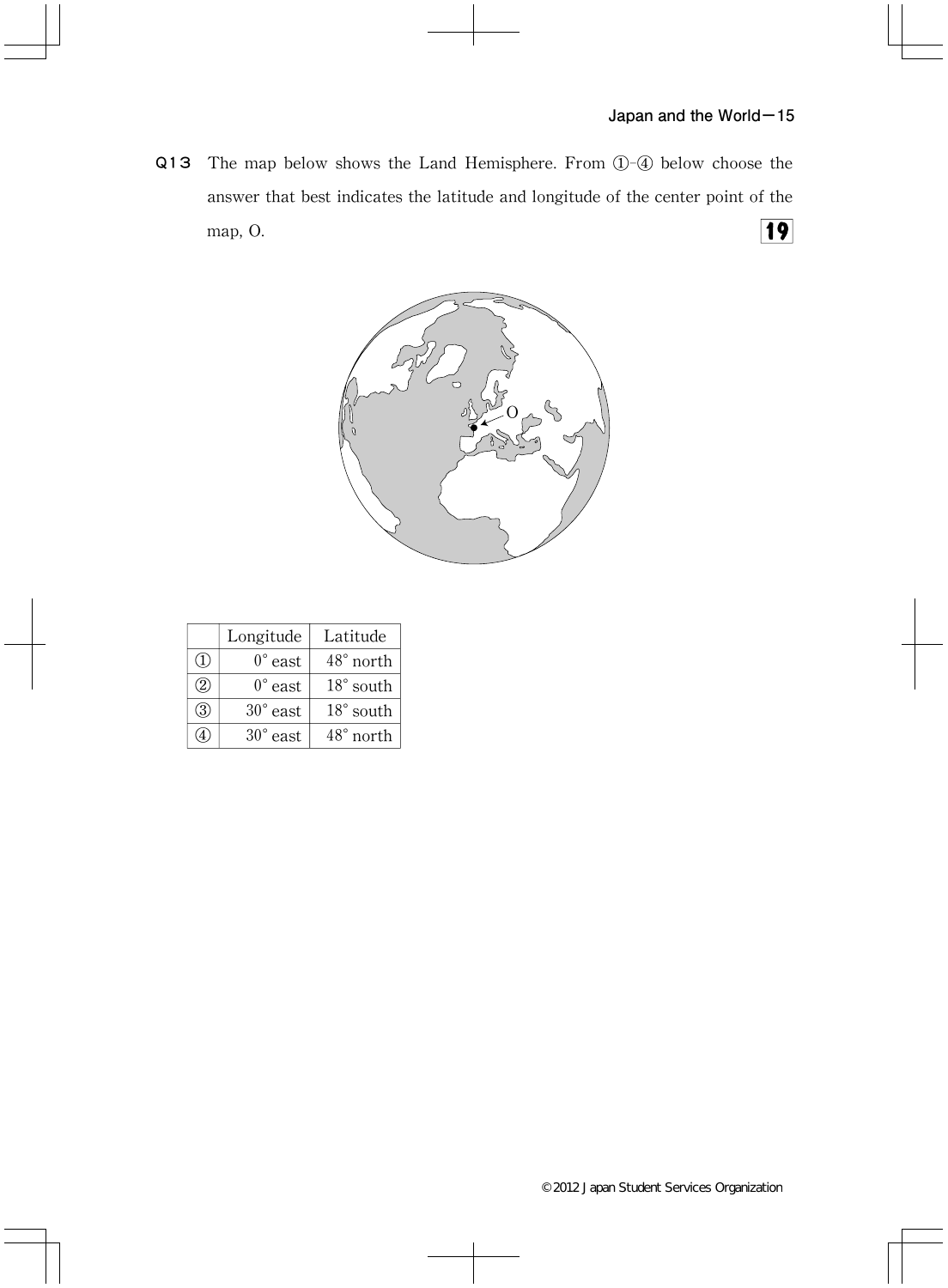Q13 The map below shows the Land Hemisphere. From  $(1)$ - $(4)$  below choose the answer that best indicates the latitude and longitude of the center point of the  $\boxed{19}$ map, O.



|                  | Longitude         | Latitude           |
|------------------|-------------------|--------------------|
| $\left(1\right)$ | $0^{\circ}$ east  | $48^{\circ}$ north |
| (2)              | $0^{\circ}$ east  | $18°$ south        |
| 3                | $30^{\circ}$ east | $18^{\circ}$ south |
|                  | $30^{\circ}$ east | $48^{\circ}$ north |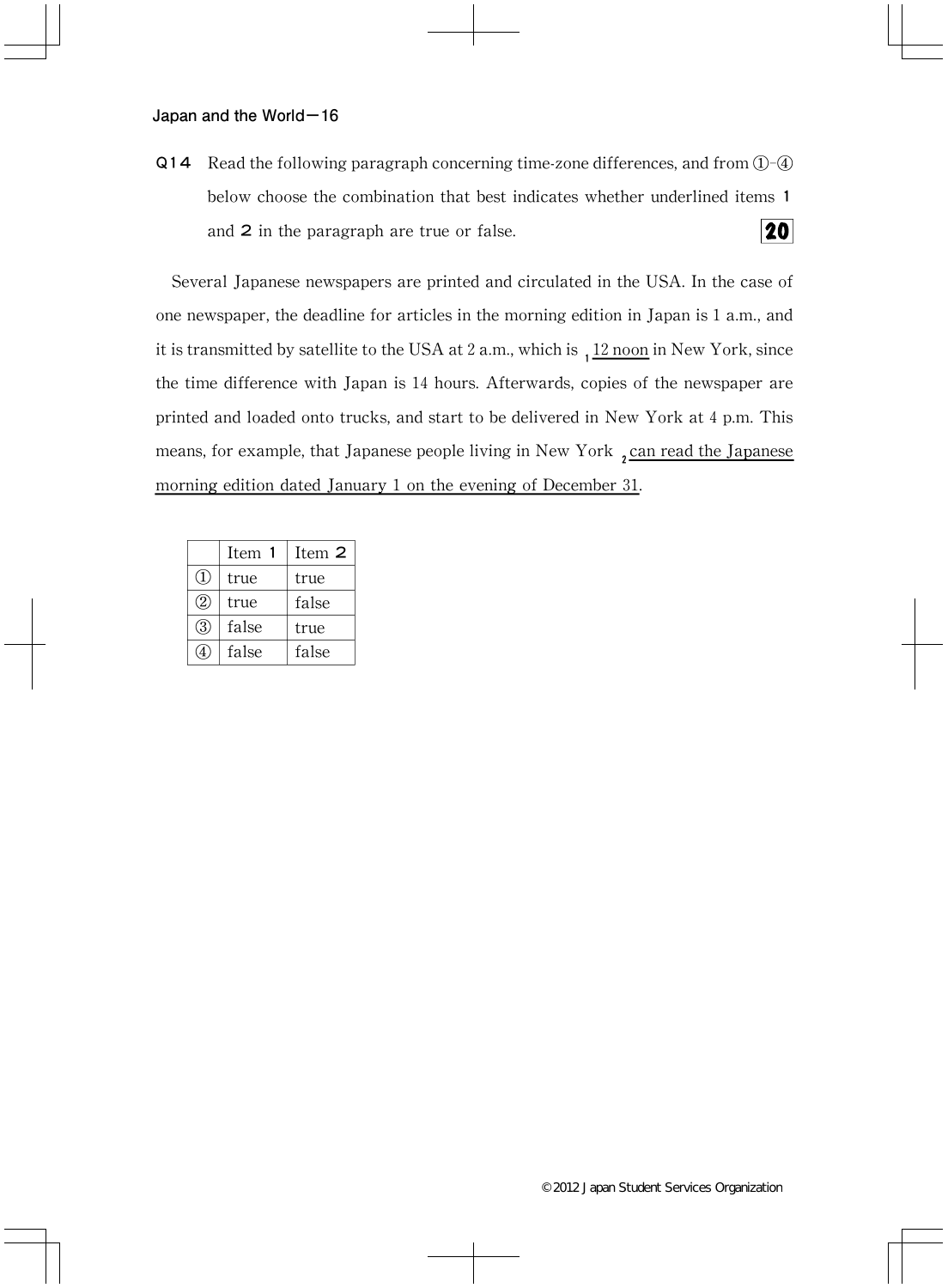Q14 Read the following paragraph concerning time-zone differences, and from  $\mathbb{O}$ - $\mathbb{Q}$ below choose the combination that best indicates whether underlined items1 20 and 2 in the paragraph are true or false.

Several Japanese newspapers are printed and circulated in the USA.In the case of one newspaper, the deadline for articles in the morning edition in Japan is  $1$  a.m., and it is transmitted by satellite to the USA at 2 a.m., which is  $112 \text{ noon}$  in New York, since the time difference with Japan is 14 hours. Afterwards, copies of the newspaper are printed and loaded onto trucks,and start to be delivered in New York at 4 p.m.This means, for example, that Japanese people living in New York, can read the Japanese morning edition dated January 1 on the evening of December 31.

|                             | Item  | Item 2 |
|-----------------------------|-------|--------|
| (1)                         | true  | true   |
| $\mathcal{Q}_{\mathcal{Y}}$ | true  | false  |
| (3)                         | false | true   |
|                             | false | false  |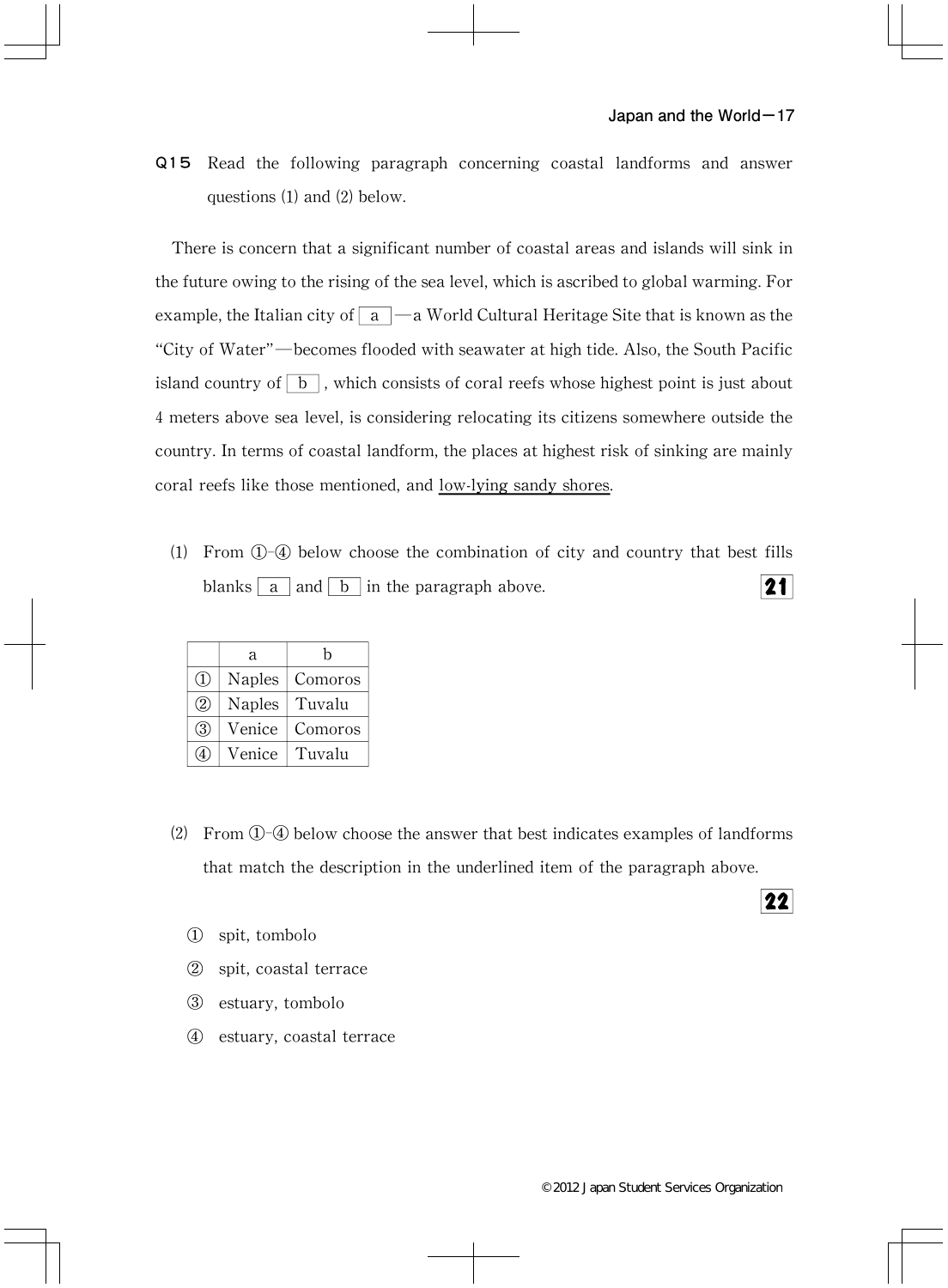Q15 Read the following paragraph concerning coastal landforms and answer questions  $(1)$  and  $(2)$  below.

There is concern that a significant number of coastal areas and islands will sink in the future owing to the rising of the sea level, which is ascribed to global warming. For example, the Italian city of  $\boxed{a}$  —a World Cultural Heritage Site that is known as the "City of Water"—becomes flooded with seawater at high tide. Also, the South Pacific island country of  $\boxed{b}$ , which consists of coral reefs whose highest point is just about 4 meters above sea level,is considering relocating its citizens somewhere outside the country. In terms of coastal landform, the places at highest risk of sinking are mainly coral reefs like those mentioned, and low-lying sandy shores.

⑴ From ①-④ below choose the combination of city and country that best fills blanks  $|a|$  and  $|b|$  in the paragraph above.  $21$ 

|               | a             | h       |
|---------------|---------------|---------|
| (1)           | <b>Naples</b> | Comoros |
| $\circled{2}$ | <b>Naples</b> | Tuvalu  |
| (3)           | Venice        | Comoros |
|               | Venice        | Tuvalu  |

- ⑵ From ①-④ below choose the answer that best indicates examples of landforms that match the description in the underlined item of the paragraph above.
	- ① spit,tombolo
	- ② spit,coastal terrace
	- ③ estuary,tombolo
	- ④ estuary,coastal terrace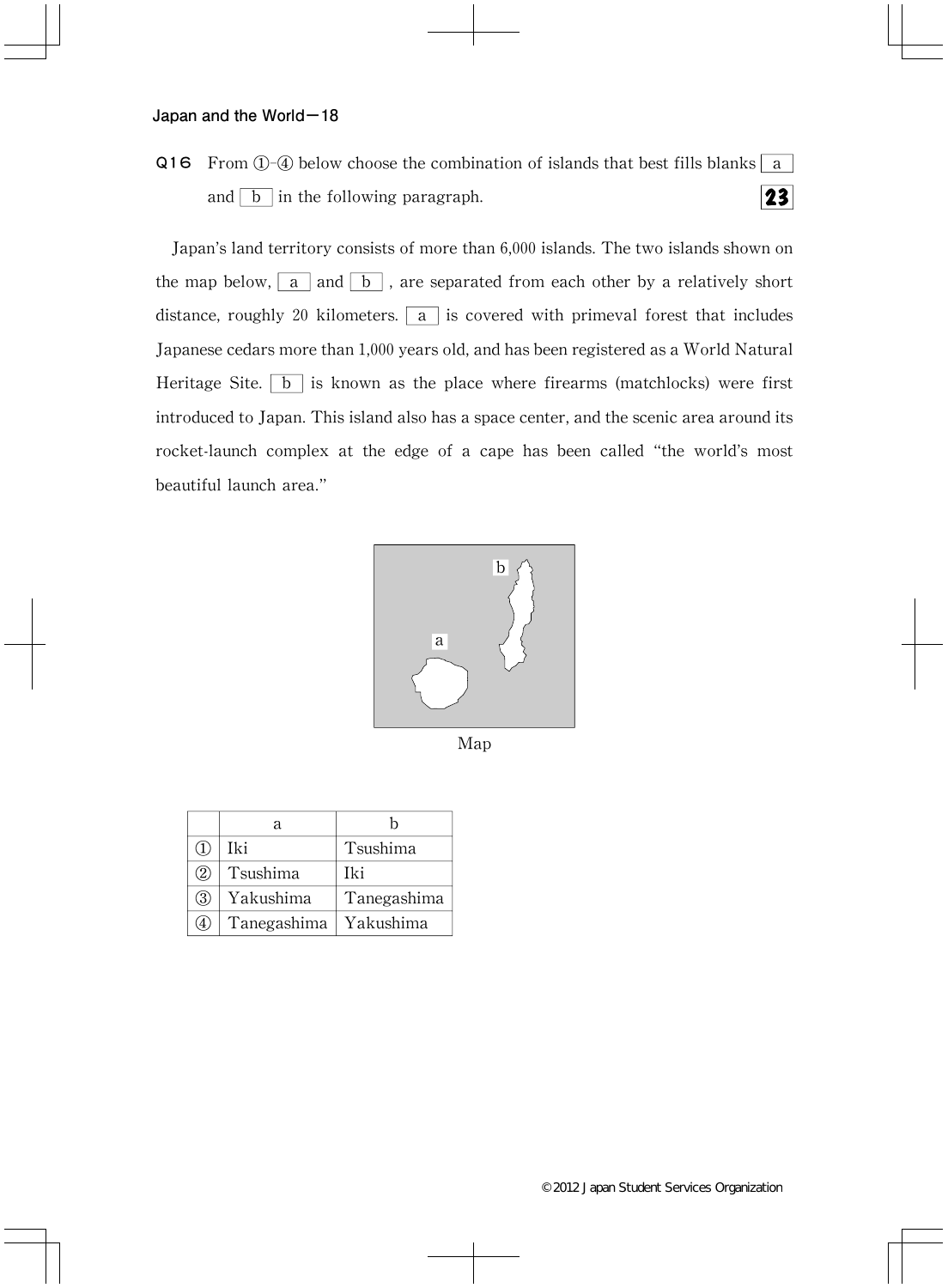Q16 From  $(1)$ - $(4)$  below choose the combination of islands that best fills blanks a and  $\boxed{b}$  in the following paragraph.  $23$ 

Japan's land territory consists of more than 6,000 islands.The two islands shown on the map below,  $\boxed{a}$  and  $\boxed{b}$ , are separated from each other by a relatively short distance, roughly 20 kilometers.  $\boxed{a}$  is covered with primeval forest that includes Japanese cedars more than 1,000 years old, and has been registered as a World Natural Heritage Site.  $\boxed{b}$  is known as the place where firearms (matchlocks) were first introduced to Japan. This island also has a space center, and the scenic area around its rocket-launch complex at the edge of a cape has been called"the world's most beautiful launch area."



Map

|           | я           |                   |
|-----------|-------------|-------------------|
|           | Iki         | Tsushima          |
| (2)       | Tsushima    | Iki               |
| $\circ$ 3 | Yakushima   | Tanegashima       |
| 4         | Tanegashima | $\perp$ Yakushima |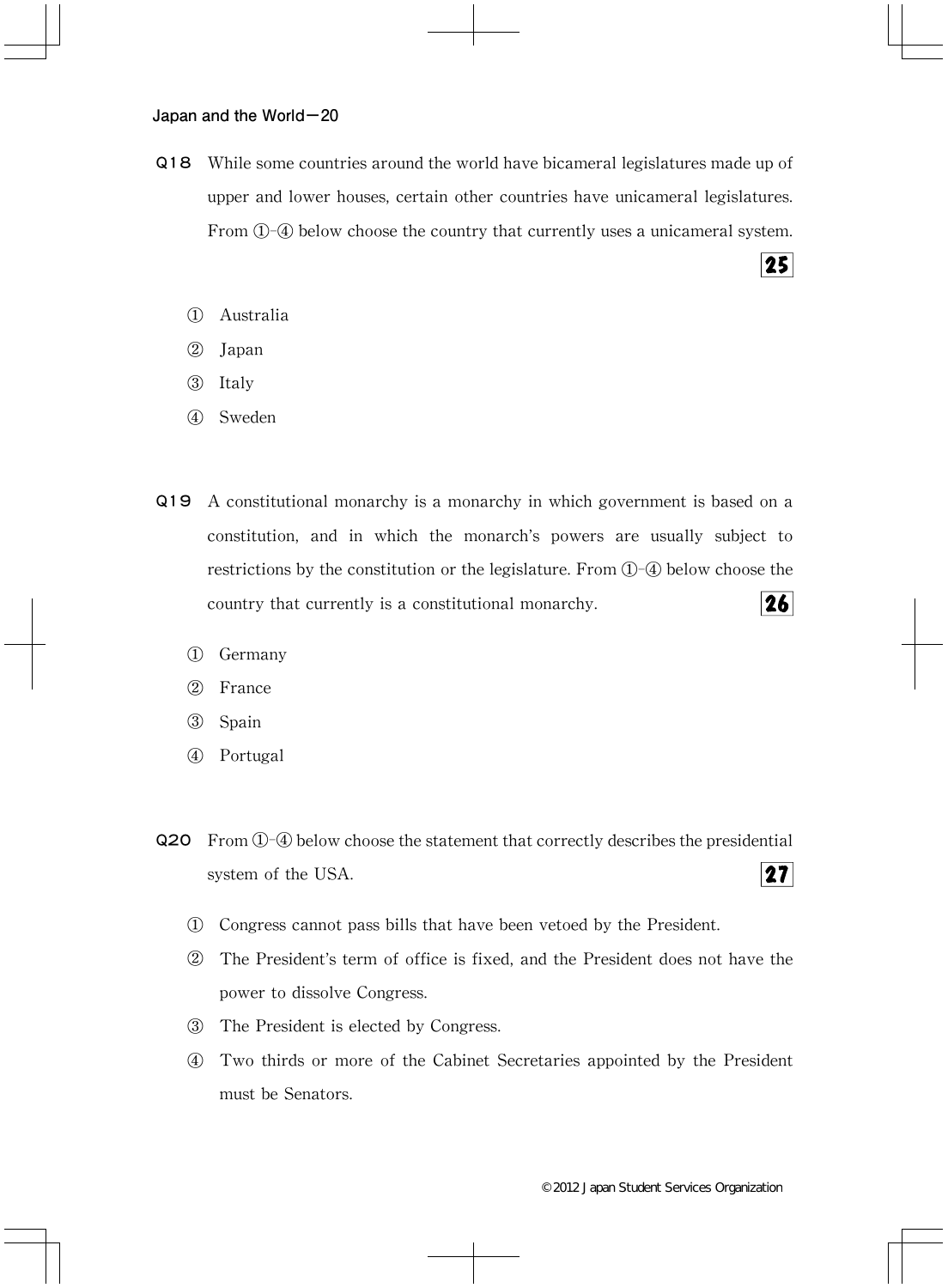- Q18 While some countries around the world have bicameral legislatures made up of upper and lower houses, certain other countries have unicameral legislatures. From  $(1)$ - $(4)$  below choose the country that currently uses a unicameral system.
	- ① Australia
	- ② Japan
	- ③ Italy
	- ④ Sweden
- Q19 A constitutional monarchy is a monarchy in which government is based on a constitution, and in which the monarch's powers are usually subject to restrictions by the constitution or the legislature. From  $\mathbb{O}$ - $\mathbb{Q}$  below choose the country that currently is a constitutional monarchy. 26|
	- ① Germany
	- ② France
	- ③ Spain
	- ④ Portugal
- Q20 From①-④ below choose the statement that correctly describes the presidential  $27$ system of the USA.
	- ① Congress cannot pass bills that have been vetoed by the President.
	- ② The President's term of office is fixed,and the President does not have the power to dissolve Congress.
	- ③ The President is elected by Congress.
	- ④ Two thirds or more of the Cabinet Secretaries appointed by the President must be Senators.

25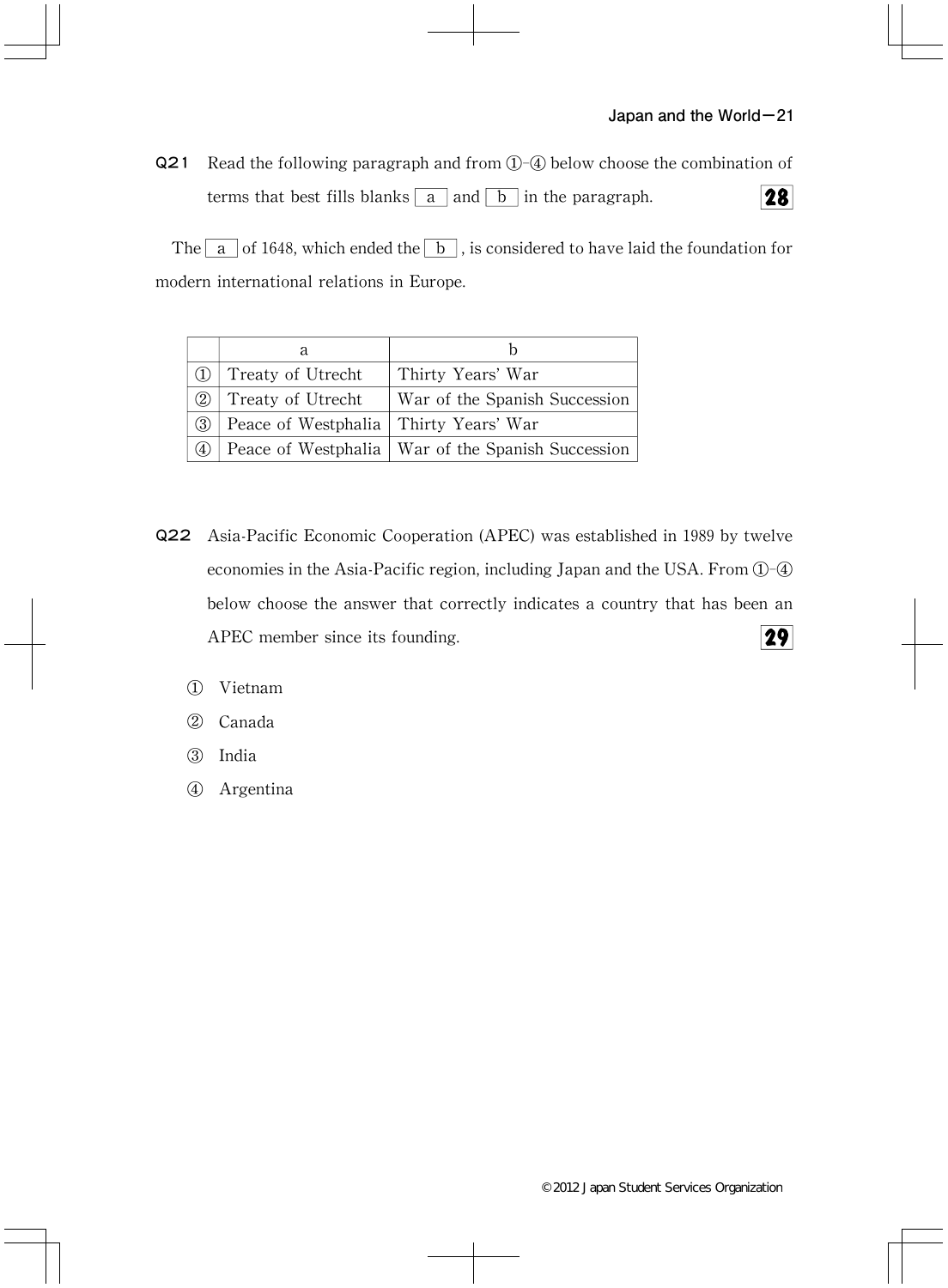Q21 Read the following paragraph and from ①-④ below choose the combination of terms that best fills blanks  $\boxed{a}$  and  $\boxed{b}$  in the paragraph.  $28$ 

The  $\boxed{a}$  of 1648, which ended the  $\boxed{b}$ , is considered to have laid the foundation for modern international relations in Europe.

| (1) | Treaty of Utrecht                       | Thirty Years' War                                   |
|-----|-----------------------------------------|-----------------------------------------------------|
| (2) | Treaty of Utrecht                       | War of the Spanish Succession                       |
| (3) | Peace of Westphalia   Thirty Years' War |                                                     |
| (4) |                                         | Peace of Westphalia   War of the Spanish Succession |

- Q22 Asia-Pacific Economic Cooperation(APEC)was established in 1989 by twelve economies in the Asia-Pacific region, including Japan and the USA. From  $\mathbb{O}$ - $\mathbb{Q}$ below choose the answer that correctly indicates a country that has been an  $29$ APEC member since its founding.
	- ① Vietnam
	- ② Canada
	- ③ India
	- ④ Argentina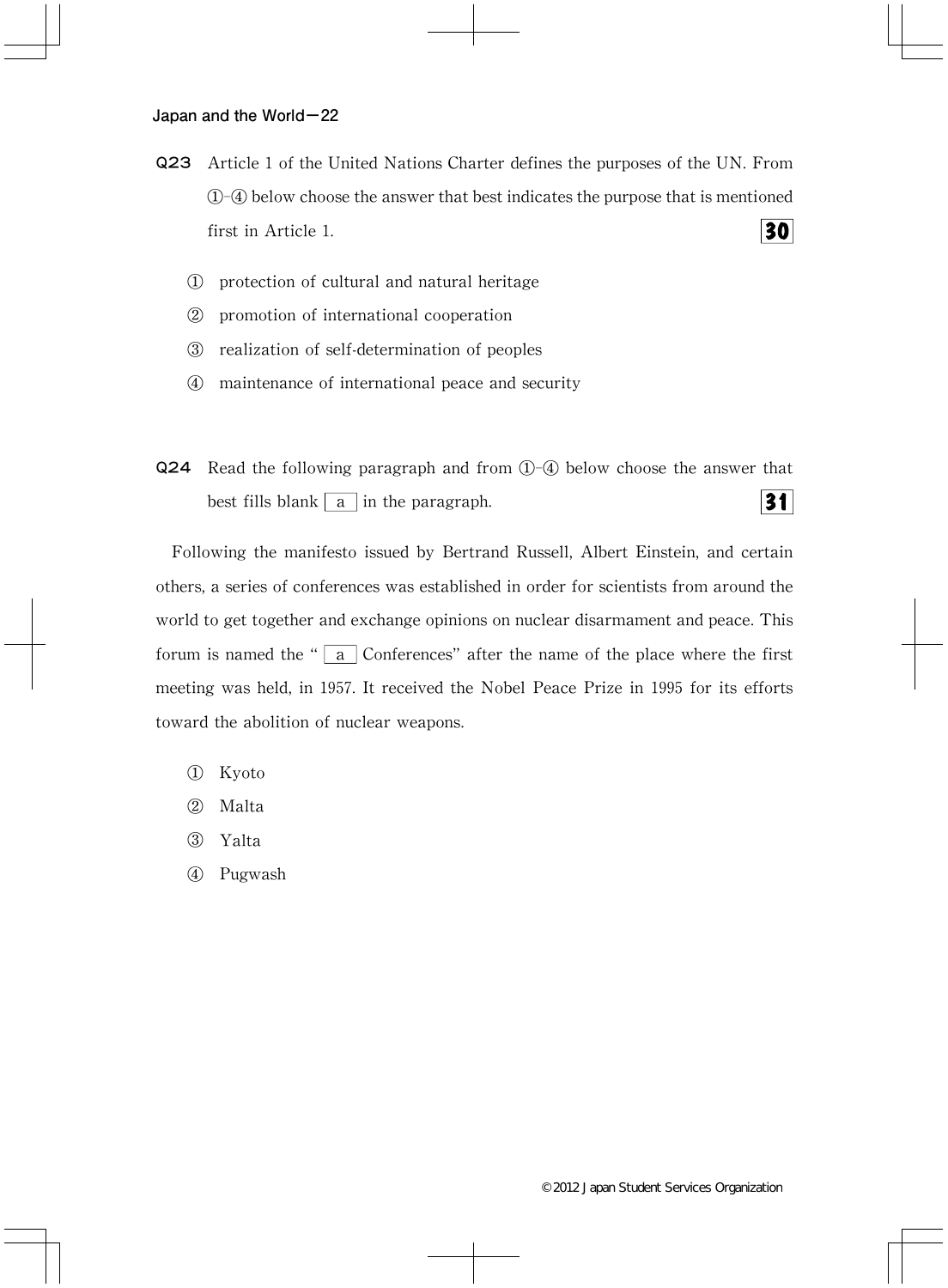- Q23 Article 1 of the United Nations Charter defines the purposes of the UN.From ①-④ below choose the answer that best indicates the purpose that is mentioned  $30<sup>1</sup>$ first in Article 1.
	- ① protection of cultural and natural heritage
	- ② promotion of international cooperation
	- ③ realization of self-determination of peoples
	- ④ maintenance of international peace and security
- Q24 Read the following paragraph and from ①-④ below choose the answer that best fills blank  $\boxed{a}$  in the paragraph. 31

Following the manifesto issued by Bertrand Russell, Albert Einstein, and certain others, a series of conferences was established in order for scientists from around the world to get together and exchange opinions on nuclear disarmament and peace.This forum is named the " $\boxed{a}$  Conferences" after the name of the place where the first meeting was held, in 1957. It received the Nobel Peace Prize in 1995 for its efforts toward the abolition of nuclear weapons.

- ① Kyoto
- ② Malta
- ③ Yalta
- ④ Pugwash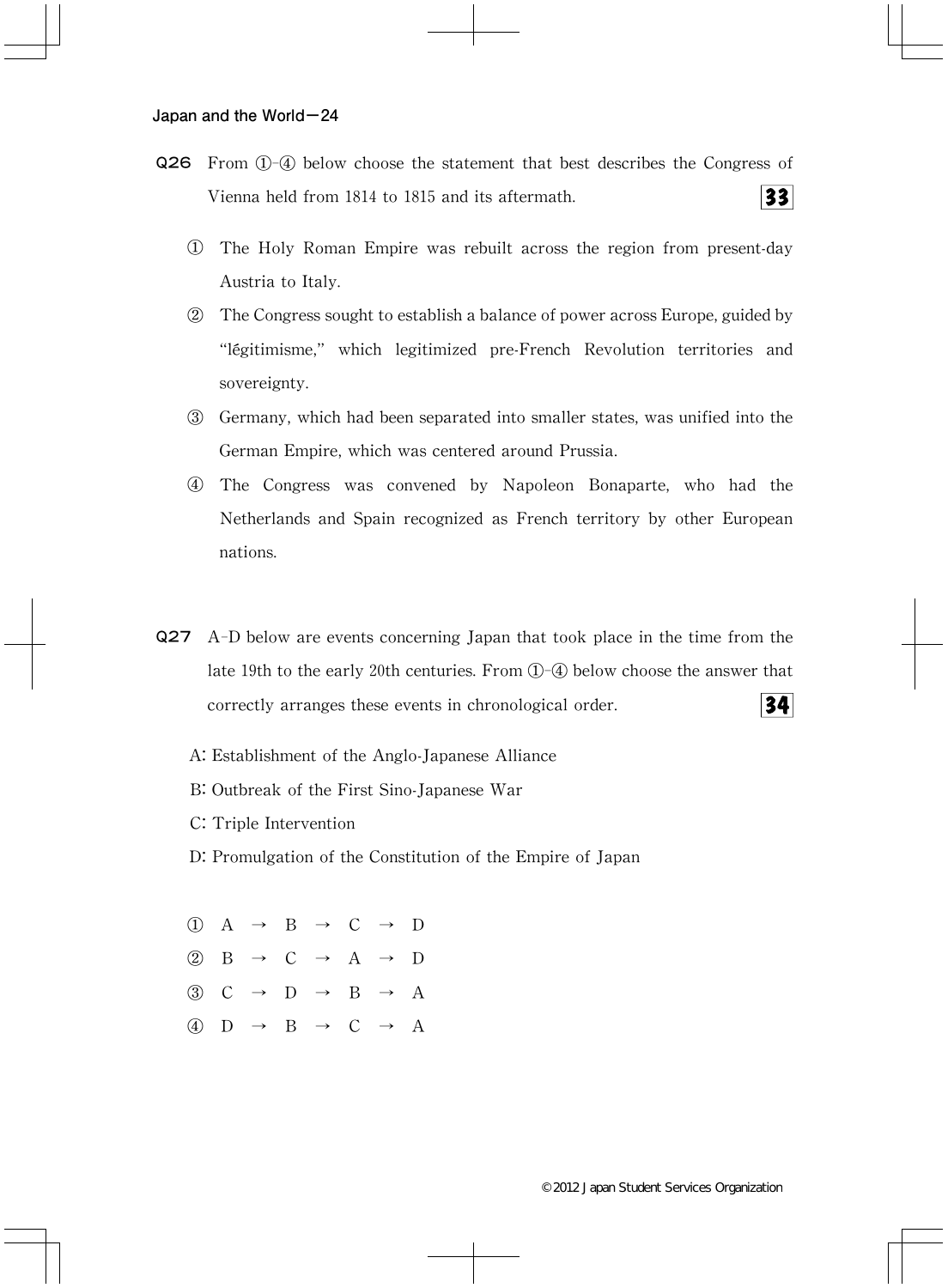- Q26 From ①-④ below choose the statement that best describes the Congress of  $33$ Vienna held from 1814 to 1815 and its aftermath.
	- ① The Holy Roman Empire was rebuilt across the region from present-day Austria to Italy.
	- ② The Congress sought to establish a balance of power across Europe,guided by "légitimisme," which legitimized pre-French Revolution territories and sovereignty.
	- ③ Germany,which had been separated into smaller states,was unified into the German Empire, which was centered around Prussia.
	- ④ The Congress was convened by Napoleon Bonaparte,who had the Netherlands and Spain recognized as French territory by other European nations.
- Q27 A-D below are events concerning Japan that took place in the time from the late 19th to the early 20th centuries.From ①-④ below choose the answer that correctly arranges these events in chronological order. 34
	- A:Establishment of the Anglo-Japanese Alliance
	- B: Outbreak of the First Sino-Japanese War
	- C: Triple Intervention
	- D: Promulgation of the Constitution of the Empire of Japan

①A→B→C→D ②B→C→A→D  $(3)$  C  $\rightarrow$  D  $\rightarrow$  B  $\rightarrow$  A (4)  $D \rightarrow B \rightarrow C \rightarrow A$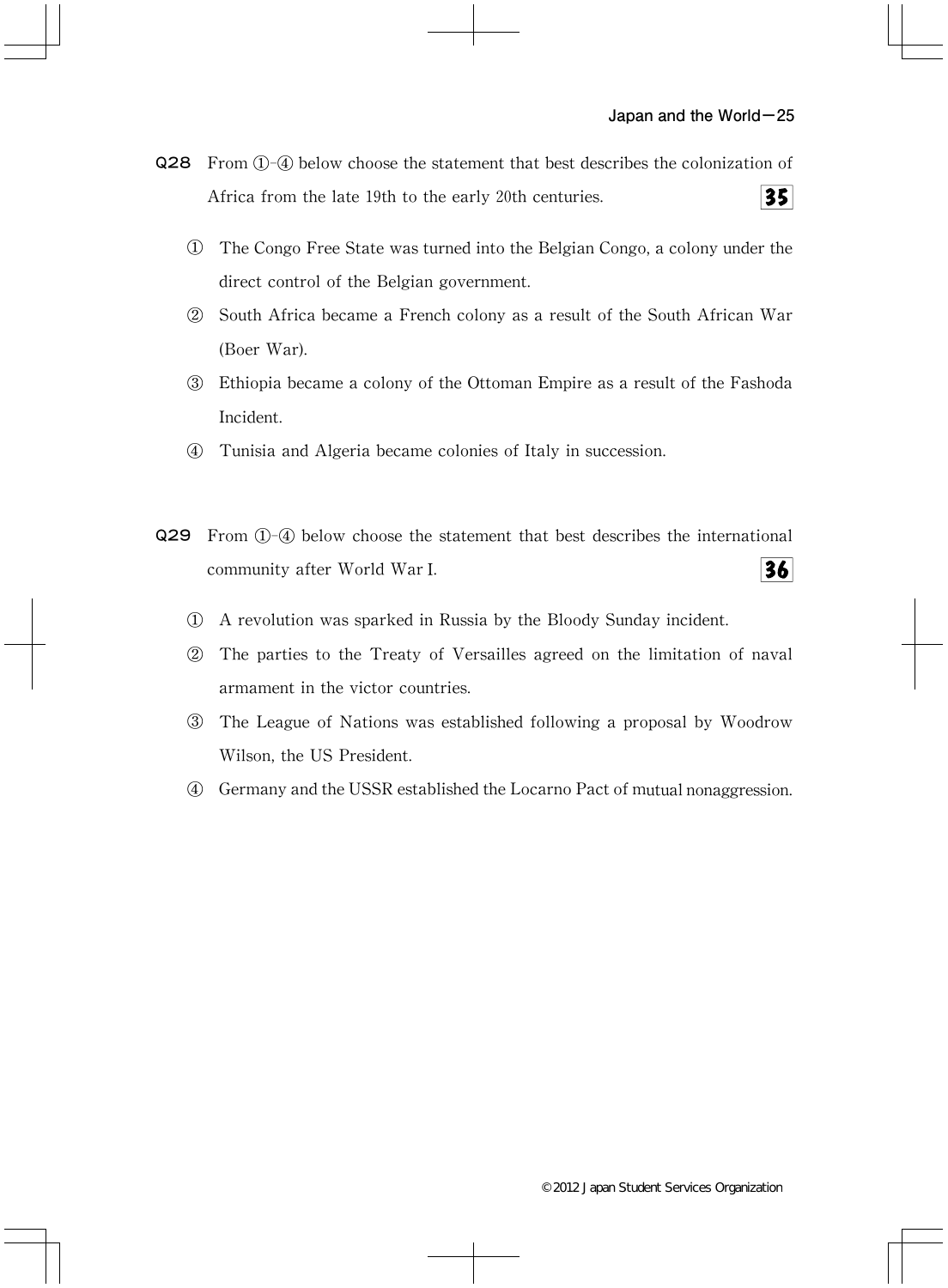- Q28 From ①-④ below choose the statement that best describes the colonization of  $35$ Africa from the late 19th to the early 20th centuries.
	- ① The Congo Free State was turned into the Belgian Congo,a colony under the direct control of the Belgian government.
	- ② South Africa became a French colony as a result of the South African War (Boer War).
	- ③ Ethiopia became a colony of the Ottoman Empire as a result of the Fashoda Incident.
	- ④ Tunisia and Algeria became colonies of Italy in succession.
- Q29 From ①-④ below choose the statement that best describes the international 36 community after World WarⅠ.
	- ① A revolution was sparked in Russia by the Bloody Sunday incident.
	- ② The parties to the Treaty of Versailles agreed on the limitation of naval armament in the victor countries.
	- ③ The League of Nations was established following a proposal by Woodrow Wilson, the US President.
	- ④ Germany and the USSR established the Locarno Pact of mutual nonaggression.